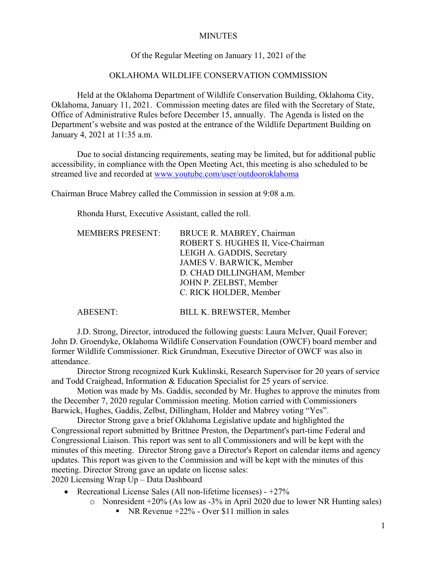### **MINUTES**

### Of the Regular Meeting on January 11, 2021 of the

### OKLAHOMA WILDLIFE CONSERVATION COMMISSION

Held at the Oklahoma Department of Wildlife Conservation Building, Oklahoma City, Oklahoma, January 11, 2021. Commission meeting dates are filed with the Secretary of State, Office of Administrative Rules before December 15, annually. The Agenda is listed on the Department's website and was posted at the entrance of the Wildlife Department Building on January 4, 2021 at 11:35 a.m.

Due to social distancing requirements, seating may be limited, but for additional public accessibility, in compliance with the Open Meeting Act, this meeting is also scheduled to be streamed live and recorded at [www.youtube.com/user/outdooroklahoma](http://www.youtube.com/user/outdooroklahoma)

Chairman Bruce Mabrey called the Commission in session at 9:08 a.m.

Rhonda Hurst, Executive Assistant, called the roll.

| <b>MEMBERS PRESENT:</b> | BRUCE R. MABREY, Chairman          |
|-------------------------|------------------------------------|
|                         | ROBERT S. HUGHES II, Vice-Chairman |
|                         | LEIGH A. GADDIS, Secretary         |
|                         | JAMES V. BARWICK, Member           |
|                         | D. CHAD DILLINGHAM, Member         |
|                         | JOHN P. ZELBST, Member             |
|                         | C. RICK HOLDER, Member             |
|                         |                                    |

ABESENT: BILL K. BREWSTER, Member

J.D. Strong, Director, introduced the following guests: Laura McIver, Quail Forever; John D. Groendyke, Oklahoma Wildlife Conservation Foundation (OWCF) board member and former Wildlife Commissioner. Rick Grundman, Executive Director of OWCF was also in attendance.

Director Strong recognized Kurk Kuklinski, Research Supervisor for 20 years of service and Todd Craighead, Information & Education Specialist for 25 years of service.

Motion was made by Ms. Gaddis, seconded by Mr. Hughes to approve the minutes from the December 7, 2020 regular Commission meeting. Motion carried with Commissioners Barwick, Hughes, Gaddis, Zelbst, Dillingham, Holder and Mabrey voting "Yes".

Director Strong gave a brief Oklahoma Legislative update and highlighted the Congressional report submitted by Brittnee Preston, the Department's part-time Federal and Congressional Liaison. This report was sent to all Commissioners and will be kept with the minutes of this meeting. Director Strong gave a Director's Report on calendar items and agency updates. This report was given to the Commission and will be kept with the minutes of this meeting. Director Strong gave an update on license sales: 2020 Licensing Wrap Up – Data Dashboard

- Recreational License Sales (All non-lifetime licenses) +27%
	- o Nonresident +20% (As low as -3% in April 2020 due to lower NR Hunting sales)
		- NR Revenue  $+22\%$  Over \$11 million in sales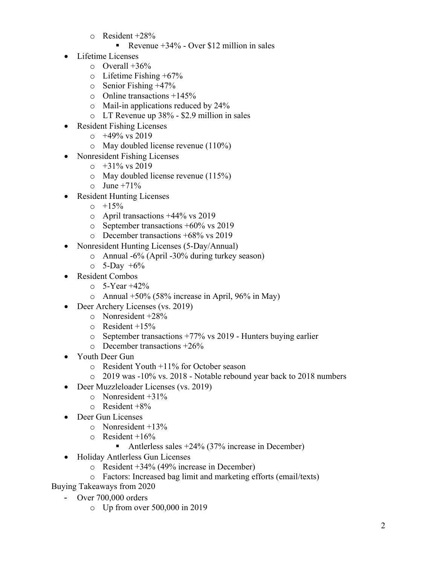$\circ$  Resident +28%

### Revenue  $+34\%$  - Over \$12 million in sales

- Lifetime Licenses
	- $\circ$  Overall +36%
	- $\circ$  Lifetime Fishing +67%
	- o Senior Fishing +47%
	- $\circ$  Online transactions +145%
	- o Mail-in applications reduced by 24%
	- o LT Revenue up 38% \$2.9 million in sales
- Resident Fishing Licenses
	- $\circ$  +49% vs 2019
	- o May doubled license revenue (110%)
- Nonresident Fishing Licenses
	- $\circ$  +31% vs 2019
	- o May doubled license revenue (115%)
	- $\circ$  June +71%
- Resident Hunting Licenses
	- $0 + 15\%$
	- o April transactions +44% vs 2019
	- o September transactions +60% vs 2019
	- o December transactions +68% vs 2019
- Nonresident Hunting Licenses (5-Day/Annual)
	- o Annual -6% (April -30% during turkey season)
	- $\circ$  5-Day +6%
- Resident Combos
	- $\circ$  5-Year +42%
	- o Annual  $+50\%$  (58% increase in April, 96% in May)
- Deer Archery Licenses (vs. 2019)
	- o Nonresident +28%
	- $\circ$  Resident +15%
	- o September transactions +77% vs 2019 Hunters buying earlier
	- o December transactions +26%
- Youth Deer Gun
	- o Resident Youth +11% for October season
	- o 2019 was -10% vs. 2018 Notable rebound year back to 2018 numbers
- Deer Muzzleloader Licenses (vs. 2019)
	- $\circ$  Nonresident +31%
	- $\circ$  Resident +8%
- Deer Gun Licenses
	- o Nonresident +13%
	- $\circ$  Resident +16%
		- Antlerless sales  $+24\%$  (37% increase in December)
- Holiday Antlerless Gun Licenses
	- o Resident +34% (49% increase in December)
	- o Factors: Increased bag limit and marketing efforts (email/texts)
- Buying Takeaways from 2020
	- Over 700,000 orders
		- o Up from over 500,000 in 2019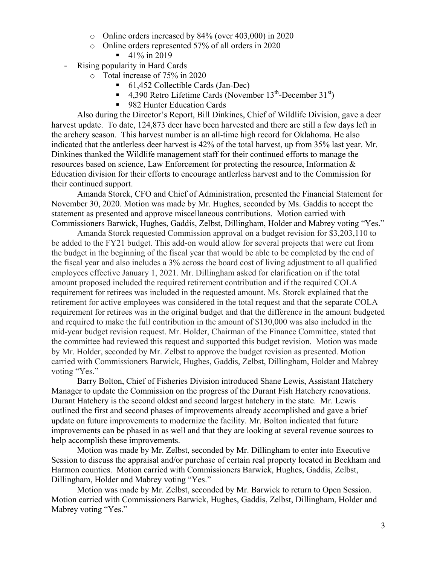- o Online orders increased by 84% (over 403,000) in 2020
- o Online orders represented 57% of all orders in 2020
	- $-41\%$  in 2019
- Rising popularity in Hard Cards
	- o Total increase of 75% in 2020
		- 61,452 Collectible Cards (Jan-Dec)
		- 4,390 Retro Lifetime Cards (November  $13^{th}$ -December  $31^{st}$ )
		- 982 Hunter Education Cards

Also during the Director's Report, Bill Dinkines, Chief of Wildlife Division, gave a deer harvest update. To date, 124,873 deer have been harvested and there are still a few days left in the archery season. This harvest number is an all-time high record for Oklahoma. He also indicated that the antlerless deer harvest is 42% of the total harvest, up from 35% last year. Mr. Dinkines thanked the Wildlife management staff for their continued efforts to manage the resources based on science, Law Enforcement for protecting the resource, Information & Education division for their efforts to encourage antlerless harvest and to the Commission for their continued support.

Amanda Storck, CFO and Chief of Administration, presented the Financial Statement for November 30, 2020. Motion was made by Mr. Hughes, seconded by Ms. Gaddis to accept the statement as presented and approve miscellaneous contributions. Motion carried with Commissioners Barwick, Hughes, Gaddis, Zelbst, Dillingham, Holder and Mabrey voting "Yes."

Amanda Storck requested Commission approval on a budget revision for \$3,203,110 to be added to the FY21 budget. This add-on would allow for several projects that were cut from the budget in the beginning of the fiscal year that would be able to be completed by the end of the fiscal year and also includes a 3% across the board cost of living adjustment to all qualified employees effective January 1, 2021. Mr. Dillingham asked for clarification on if the total amount proposed included the required retirement contribution and if the required COLA requirement for retirees was included in the requested amount. Ms. Storck explained that the retirement for active employees was considered in the total request and that the separate COLA requirement for retirees was in the original budget and that the difference in the amount budgeted and required to make the full contribution in the amount of \$130,000 was also included in the mid-year budget revision request. Mr. Holder, Chairman of the Finance Committee, stated that the committee had reviewed this request and supported this budget revision. Motion was made by Mr. Holder, seconded by Mr. Zelbst to approve the budget revision as presented. Motion carried with Commissioners Barwick, Hughes, Gaddis, Zelbst, Dillingham, Holder and Mabrey voting "Yes."

Barry Bolton, Chief of Fisheries Division introduced Shane Lewis, Assistant Hatchery Manager to update the Commission on the progress of the Durant Fish Hatchery renovations. Durant Hatchery is the second oldest and second largest hatchery in the state. Mr. Lewis outlined the first and second phases of improvements already accomplished and gave a brief update on future improvements to modernize the facility. Mr. Bolton indicated that future improvements can be phased in as well and that they are looking at several revenue sources to help accomplish these improvements.

Motion was made by Mr. Zelbst, seconded by Mr. Dillingham to enter into Executive Session to discuss the appraisal and/or purchase of certain real property located in Beckham and Harmon counties. Motion carried with Commissioners Barwick, Hughes, Gaddis, Zelbst, Dillingham, Holder and Mabrey voting "Yes."

Motion was made by Mr. Zelbst, seconded by Mr. Barwick to return to Open Session. Motion carried with Commissioners Barwick, Hughes, Gaddis, Zelbst, Dillingham, Holder and Mabrey voting "Yes."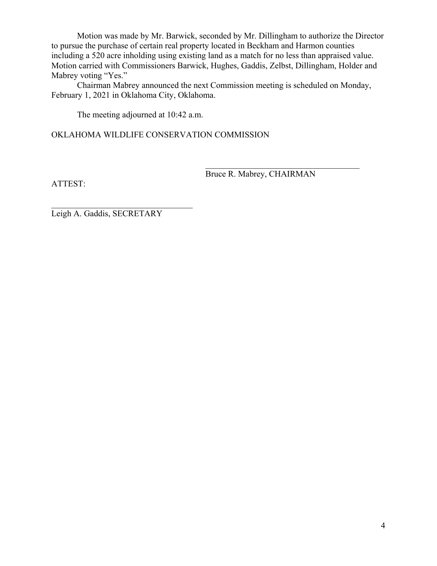Motion was made by Mr. Barwick, seconded by Mr. Dillingham to authorize the Director to pursue the purchase of certain real property located in Beckham and Harmon counties including a 520 acre inholding using existing land as a match for no less than appraised value. Motion carried with Commissioners Barwick, Hughes, Gaddis, Zelbst, Dillingham, Holder and Mabrey voting "Yes."

Chairman Mabrey announced the next Commission meeting is scheduled on Monday, February 1, 2021 in Oklahoma City, Oklahoma.

The meeting adjourned at 10:42 a.m.

OKLAHOMA WILDLIFE CONSERVATION COMMISSION

ATTEST:

Bruce R. Mabrey, CHAIRMAN

Leigh A. Gaddis, SECRETARY

 $\mathcal{L}_\mathcal{L}$  , where  $\mathcal{L}_\mathcal{L}$  , we are the set of the set of the set of the set of the set of the set of the set of the set of the set of the set of the set of the set of the set of the set of the set of the set o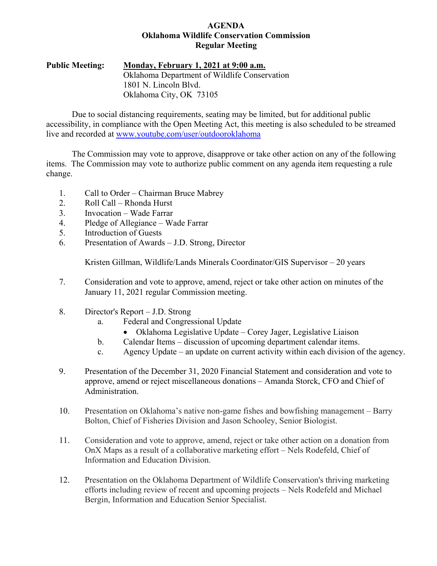### **AGENDA Oklahoma Wildlife Conservation Commission Regular Meeting**

**Public Meeting: Monday, February 1, 2021 at 9:00 a.m.** Oklahoma Department of Wildlife Conservation 1801 N. Lincoln Blvd. Oklahoma City, OK 73105

Due to social distancing requirements, seating may be limited, but for additional public accessibility, in compliance with the Open Meeting Act, this meeting is also scheduled to be streamed live and recorded at [www.youtube.com/user/outdooroklahoma](http://www.youtube.com/user/outdooroklahoma)

The Commission may vote to approve, disapprove or take other action on any of the following items. The Commission may vote to authorize public comment on any agenda item requesting a rule change.

- 1. Call to Order Chairman Bruce Mabrey
- 2. Roll Call Rhonda Hurst
- 3. Invocation Wade Farrar
- 4. Pledge of Allegiance Wade Farrar
- 5. Introduction of Guests
- 6. Presentation of Awards J.D. Strong, Director

Kristen Gillman, Wildlife/Lands Minerals Coordinator/GIS Supervisor – 20 years

- 7. Consideration and vote to approve, amend, reject or take other action on minutes of the January 11, 2021 regular Commission meeting.
- 8. Director's Report J.D. Strong
	- a. Federal and Congressional Update
		- Oklahoma Legislative Update Corey Jager, Legislative Liaison
	- b. Calendar Items discussion of upcoming department calendar items.
	- c. Agency Update an update on current activity within each division of the agency.
- 9. Presentation of the December 31, 2020 Financial Statement and consideration and vote to approve, amend or reject miscellaneous donations – Amanda Storck, CFO and Chief of Administration.
- 10. Presentation on Oklahoma's native non-game fishes and bowfishing management Barry Bolton, Chief of Fisheries Division and Jason Schooley, Senior Biologist.
- 11. Consideration and vote to approve, amend, reject or take other action on a donation from OnX Maps as a result of a collaborative marketing effort – Nels Rodefeld, Chief of Information and Education Division.
- 12. Presentation on the Oklahoma Department of Wildlife Conservation's thriving marketing efforts including review of recent and upcoming projects – Nels Rodefeld and Michael Bergin, Information and Education Senior Specialist.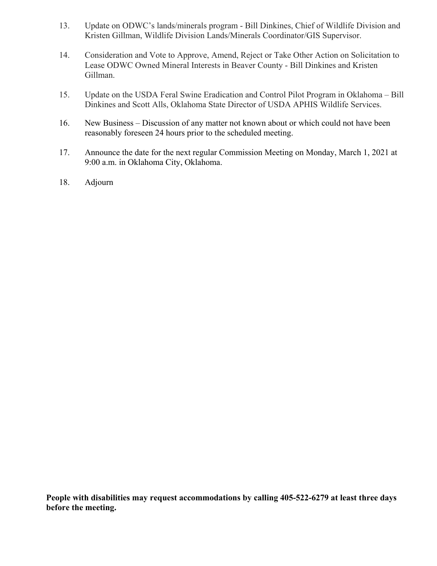- 13. Update on ODWC's lands/minerals program Bill Dinkines, Chief of Wildlife Division and Kristen Gillman, Wildlife Division Lands/Minerals Coordinator/GIS Supervisor.
- 14. Consideration and Vote to Approve, Amend, Reject or Take Other Action on Solicitation to Lease ODWC Owned Mineral Interests in Beaver County - Bill Dinkines and Kristen Gillman.
- 15. Update on the USDA Feral Swine Eradication and Control Pilot Program in Oklahoma Bill Dinkines and Scott Alls, Oklahoma State Director of USDA APHIS Wildlife Services.
- 16. New Business Discussion of any matter not known about or which could not have been reasonably foreseen 24 hours prior to the scheduled meeting.
- 17. Announce the date for the next regular Commission Meeting on Monday, March 1, 2021 at 9:00 a.m. in Oklahoma City, Oklahoma.
- 18. Adjourn

**People with disabilities may request accommodations by calling 405-522-6279 at least three days before the meeting.**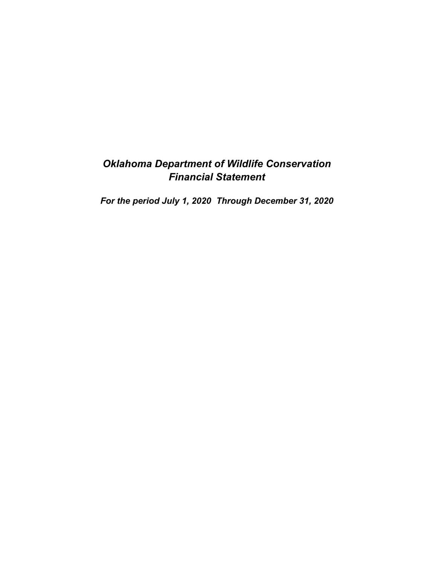# *Oklahoma Department of Wildlife Conservation Financial Statement*

*For the period July 1, 2020 Through December 31, 2020*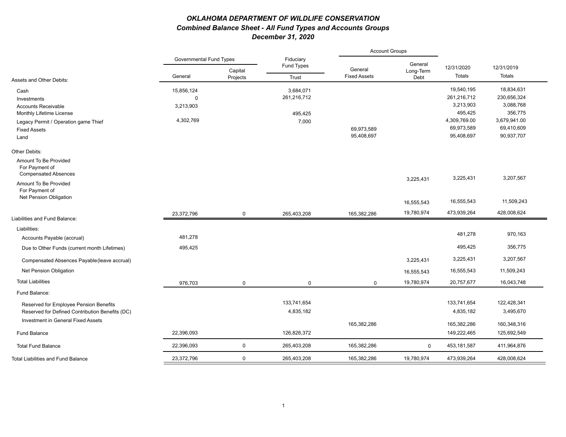### *OKLAHOMA DEPARTMENT OF WILDLIFE CONSERVATION Combined Balance Sheet - All Fund Types and Accounts Groups December 31, 2020*

|                                                 |                                |                     |                         | <b>Account Groups</b>          |                   |                      |                      |
|-------------------------------------------------|--------------------------------|---------------------|-------------------------|--------------------------------|-------------------|----------------------|----------------------|
|                                                 | <b>Governmental Fund Types</b> |                     | Fiduciary<br>Fund Types |                                | General           | 12/31/2020           | 12/31/2019           |
|                                                 | General                        | Capital<br>Projects | Trust                   | General<br><b>Fixed Assets</b> | Long-Term<br>Debt | <b>Totals</b>        | Totals               |
| Assets and Other Debits:                        |                                |                     |                         |                                |                   |                      |                      |
| Cash                                            | 15,856,124                     |                     | 3,684,071               |                                |                   | 19,540,195           | 18,834,631           |
| Investments                                     | $\mathbf 0$                    |                     | 261,216,712             |                                |                   | 261,216,712          | 230,656,324          |
| <b>Accounts Receivable</b>                      | 3,213,903                      |                     |                         |                                |                   | 3,213,903<br>495,425 | 3,088,768<br>356,775 |
| Monthly Lifetime License                        | 4,302,769                      |                     | 495,425                 |                                |                   | 4,309,769.00         | 3,679,941.00         |
| Legacy Permit / Operation game Thief            |                                |                     | 7,000                   |                                |                   | 69,973,589           | 69,410,609           |
| <b>Fixed Assets</b>                             |                                |                     |                         | 69,973,589<br>95,408,697       |                   | 95,408,697           | 90,937,707           |
| Land                                            |                                |                     |                         |                                |                   |                      |                      |
| Other Debits:                                   |                                |                     |                         |                                |                   |                      |                      |
| Amount To Be Provided                           |                                |                     |                         |                                |                   |                      |                      |
| For Payment of                                  |                                |                     |                         |                                |                   |                      |                      |
| <b>Compensated Absences</b>                     |                                |                     |                         |                                | 3,225,431         | 3,225,431            | 3,207,567            |
| Amount To Be Provided                           |                                |                     |                         |                                |                   |                      |                      |
| For Payment of<br>Net Pension Obligation        |                                |                     |                         |                                |                   |                      |                      |
|                                                 |                                |                     |                         |                                | 16,555,543        | 16,555,543           | 11,509,243           |
|                                                 | 23.372.796                     | $\mathbf 0$         | 265.403.208             | 165.382.286                    | 19,780,974        | 473,939,264          | 428,008,624          |
| Liabilities and Fund Balance:                   |                                |                     |                         |                                |                   |                      |                      |
| Liabilities:                                    |                                |                     |                         |                                |                   |                      |                      |
| Accounts Payable (accrual)                      | 481,278                        |                     |                         |                                |                   | 481,278              | 970,163              |
| Due to Other Funds (current month Lifetimes)    | 495,425                        |                     |                         |                                |                   | 495,425              | 356,775              |
| Compensated Absences Payable (leave accrual)    |                                |                     |                         |                                | 3,225,431         | 3,225,431            | 3,207,567            |
| Net Pension Obligation                          |                                |                     |                         |                                | 16,555,543        | 16,555,543           | 11,509,243           |
| <b>Total Liabilities</b>                        | 976,703                        | $\mathbf 0$         | $\mathbf 0$             | $\Omega$                       | 19,780,974        | 20,757,677           | 16,043,748           |
| Fund Balance:                                   |                                |                     |                         |                                |                   |                      |                      |
| Reserved for Employee Pension Benefits          |                                |                     | 133,741,654             |                                |                   | 133,741,654          | 122,428,341          |
| Reserved for Defined Contribution Benefits (DC) |                                |                     | 4,835,182               |                                |                   | 4,835,182            | 3,495,670            |
| Investment in General Fixed Assets              |                                |                     |                         |                                |                   |                      |                      |
|                                                 |                                |                     |                         | 165,382,286                    |                   | 165,382,286          | 160,348,316          |
| <b>Fund Balance</b>                             | 22,396,093                     |                     | 126,826,372             |                                |                   | 149,222,465          | 125,692,549          |
| <b>Total Fund Balance</b>                       | 22,396,093                     | $\mathbf 0$         | 265,403,208             | 165,382,286                    | $\mathbf 0$       | 453,181,587          | 411,964,876          |
| <b>Total Liabilities and Fund Balance</b>       | 23,372,796                     | $\mathbf 0$         | 265,403,208             | 165,382,286                    | 19,780,974        | 473,939,264          | 428,008,624          |
|                                                 |                                |                     |                         |                                |                   |                      |                      |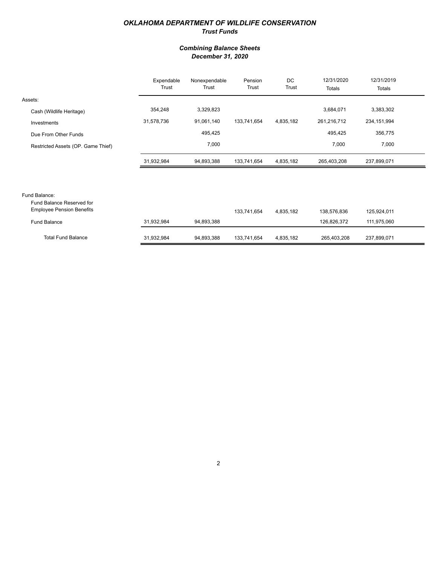#### *OKLAHOMA DEPARTMENT OF WILDLIFE CONSERVATION Trust Funds*

#### *Combining Balance Sheets December 31, 2020*

|                                                               | Expendable<br>Trust | Nonexpendable<br>Trust | Pension<br>Trust | DC<br>Trust | 12/31/2020<br>Totals | 12/31/2019<br>Totals |  |
|---------------------------------------------------------------|---------------------|------------------------|------------------|-------------|----------------------|----------------------|--|
| Assets:                                                       |                     |                        |                  |             |                      |                      |  |
| Cash (Wildlife Heritage)                                      | 354,248             | 3,329,823              |                  |             | 3,684,071            | 3,383,302            |  |
| Investments                                                   | 31,578,736          | 91,061,140             | 133,741,654      | 4,835,182   | 261,216,712          | 234, 151, 994        |  |
| Due From Other Funds                                          |                     | 495,425                |                  |             | 495,425              | 356,775              |  |
| Restricted Assets (OP. Game Thief)                            |                     | 7,000                  |                  |             | 7,000                | 7,000                |  |
|                                                               | 31,932,984          | 94,893,388             | 133,741,654      | 4,835,182   | 265,403,208          | 237,899,071          |  |
|                                                               |                     |                        |                  |             |                      |                      |  |
|                                                               |                     |                        |                  |             |                      |                      |  |
| Fund Balance:                                                 |                     |                        |                  |             |                      |                      |  |
| Fund Balance Reserved for<br><b>Employee Pension Benefits</b> |                     |                        | 133 741 654      | 1835182     | 138 576 836          | 125 024 011          |  |

| Employee Pension Benefits |            |            | 133.741.654 | 4.835.182 | 138.576.836 | 125.924.011 |
|---------------------------|------------|------------|-------------|-----------|-------------|-------------|
| Fund Balance              | 31.932.984 | 94.893.388 |             |           | 126.826.372 | 111.975.060 |
|                           |            |            |             |           |             |             |
|                           |            |            |             |           |             |             |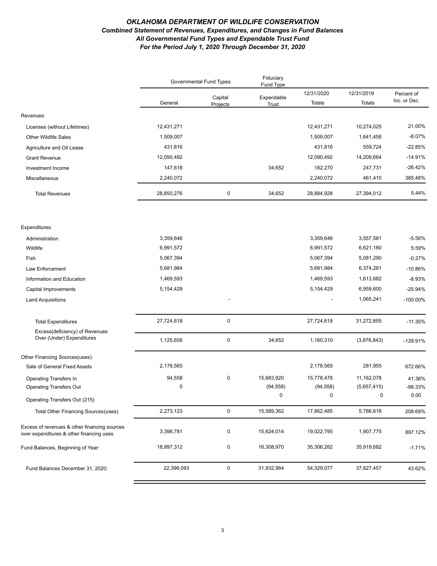#### *OKLAHOMA DEPARTMENT OF WILDLIFE CONSERVATION Combined Statement of Revenues, Expenditures, and Changes in Fund Balances All Governmental Fund Types and Expendable Trust Fund For the Period July 1, 2020 Through December 31, 2020*

|                                                                                          | <b>Governmental Fund Types</b> |                     | Fiduciary<br>Fund Type |                      |                      |                            |
|------------------------------------------------------------------------------------------|--------------------------------|---------------------|------------------------|----------------------|----------------------|----------------------------|
|                                                                                          | General                        | Capital<br>Projects | Expendable<br>Trust    | 12/31/2020<br>Totals | 12/31/2019<br>Totals | Percent of<br>Inc. or Dec. |
| Revenues:                                                                                |                                |                     |                        |                      |                      |                            |
| Licenses (without Lifetimes)                                                             | 12,431,271                     |                     |                        | 12,431,271           | 10,274,025           | 21.00%                     |
| <b>Other Wildlife Sales</b>                                                              | 1,509,007                      |                     |                        | 1,509,007            | 1,641,458            | $-8.07%$                   |
| Agriculture and Oil Lease                                                                | 431,816                        |                     |                        | 431,816              | 559,724              | $-22.85%$                  |
| <b>Grant Revenue</b>                                                                     | 12,090,492                     |                     |                        | 12,090,492           | 14,209,664           | $-14.91%$                  |
| Investment Income                                                                        | 147,618                        |                     | 34,652                 | 182,270              | 247,731              | $-26.42%$                  |
| Miscellaneous                                                                            | 2,240,072                      |                     |                        | 2,240,072            | 461,410              | 385.48%                    |
| <b>Total Revenues</b>                                                                    | 28,850,276                     | $\pmb{0}$           | 34,652                 | 28,884,928           | 27,394,012           | 5.44%                      |
| Expenditures:                                                                            |                                |                     |                        |                      |                      |                            |
| Administration                                                                           | 3,359,646                      |                     |                        | 3,359,646            | 3,557,581            | $-5.56%$                   |
| Wildlife                                                                                 | 6,991,572                      |                     |                        | 6,991,572            | 6,621,180            | 5.59%                      |
| Fish                                                                                     | 5,067,394                      |                     |                        | 5,067,394            | 5,081,290            | $-0.27%$                   |
| Law Enforcement                                                                          | 5,681,984                      |                     |                        | 5,681,984            | 6,374,281            | $-10.86%$                  |
| Information and Education                                                                | 1,469,593                      |                     |                        | 1,469,593            | 1,613,682            | $-8.93%$                   |
| Capital Improvements                                                                     | 5,154,429                      |                     |                        | 5,154,429            | 6,959,600            | $-25.94%$                  |
| <b>Land Acquisitions</b>                                                                 |                                |                     |                        |                      | 1,065,241            | $-100.00\%$                |
|                                                                                          |                                |                     |                        |                      |                      |                            |
| <b>Total Expenditures</b>                                                                | 27,724,618                     | $\pmb{0}$           |                        | 27,724,618           | 31,272,855           | $-11.35%$                  |
| Excess(deficiency) of Revenues<br>Over (Under) Expenditures                              | 1,125,658                      | $\mathbf 0$         | 34,652                 | 1,160,310            | (3,878,843)          | -129.91%                   |
| Other Financing Sources(uses):                                                           |                                |                     |                        |                      |                      |                            |
| Sale of General Fixed Assets                                                             | 2,178,565                      |                     |                        | 2,178,565            | 281,955              | 672.66%                    |
| Operating Transfers In                                                                   | 94,558                         | $\pmb{0}$           | 15,683,920             | 15,778,478           | 11,162,078           | 41.36%                     |
| <b>Operating Transfers Out</b>                                                           | $\mathbf 0$                    |                     | (94, 558)              | (94, 558)            | (5,657,415)          | $-98.33%$                  |
| Operating Transfers Out (215)                                                            |                                |                     | $\Omega$               | $\mathbf 0$          | $\Omega$             | 0.00                       |
| Total Other Financing Sources (uses)                                                     | 2,273,123                      | $\mathbf 0$         | 15,589,362             | 17,862,485           | 5,786,618            | 208.69%                    |
| Excess of revenues & other financing sources<br>over expenditures & other financing uses | 3,398,781                      | 0                   | 15,624,014             | 19,022,795           | 1,907,775            | 897.12%                    |
| Fund Balances, Beginning of Year:                                                        | 18,997,312                     | 0                   | 16,308,970             | 35,306,282           | 35,919,682           | $-1.71%$                   |
| Fund Balances December 31, 2020:                                                         | 22,396,093                     | $\mathsf{O}$        | 31,932,984             | 54,329,077           | 37,827,457           | 43.62%                     |
|                                                                                          |                                |                     |                        |                      |                      |                            |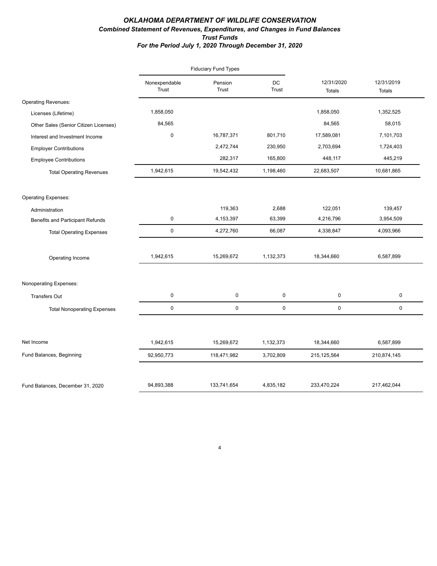#### *OKLAHOMA DEPARTMENT OF WILDLIFE CONSERVATION Combined Statement of Revenues, Expenditures, and Changes in Fund Balances Trust Funds For the Period July 1, 2020 Through December 31, 2020*

|                                         |                        | <b>Fiduciary Fund Types</b> |             |                             |                             |  |
|-----------------------------------------|------------------------|-----------------------------|-------------|-----------------------------|-----------------------------|--|
|                                         | Nonexpendable<br>Trust | Pension<br>Trust            | DC<br>Trust | 12/31/2020<br><b>Totals</b> | 12/31/2019<br><b>Totals</b> |  |
| <b>Operating Revenues:</b>              |                        |                             |             |                             |                             |  |
| Licenses (Lifetime)                     | 1,858,050              |                             |             | 1,858,050                   | 1,352,525                   |  |
| Other Sales (Senior Citizen Licenses)   | 84,565                 |                             |             | 84,565                      | 58,015                      |  |
| Interest and Investment Income          | $\pmb{0}$              | 16,787,371                  | 801,710     | 17,589,081                  | 7,101,703                   |  |
| <b>Employer Contributions</b>           |                        | 2,472,744                   | 230,950     | 2,703,694                   | 1,724,403                   |  |
| <b>Employee Contributions</b>           |                        | 282,317                     | 165,800     | 448,117                     | 445,219                     |  |
| <b>Total Operating Revenues</b>         | 1,942,615              | 19,542,432                  | 1,198,460   | 22,683,507                  | 10,681,865                  |  |
| <b>Operating Expenses:</b>              |                        |                             |             |                             |                             |  |
| Administration                          |                        | 119,363                     | 2,688       | 122,051                     | 139,457                     |  |
| <b>Benefits and Participant Refunds</b> | $\mathbf 0$            | 4,153,397                   | 63,399      | 4,216,796                   | 3,954,509                   |  |
| <b>Total Operating Expenses</b>         | $\mathsf 0$            | 4,272,760                   | 66,087      | 4,338,847                   | 4,093,966                   |  |
| Operating Income                        | 1,942,615              | 15,269,672                  | 1,132,373   | 18,344,660                  | 6,587,899                   |  |
| Nonoperating Expenses:                  |                        |                             |             |                             |                             |  |
| <b>Transfers Out</b>                    | $\mathbf 0$            | 0                           | 0           | 0                           | 0                           |  |
| <b>Total Nonoperating Expenses</b>      | $\mathsf 0$            | $\mathbf 0$                 | 0           | 0                           | 0                           |  |
| Net Income                              | 1,942,615              | 15,269,672                  | 1,132,373   | 18,344,660                  | 6,587,899                   |  |
| Fund Balances, Beginning                | 92,950,773             | 118,471,982                 | 3,702,809   | 215, 125, 564               | 210,874,145                 |  |
|                                         |                        |                             |             |                             |                             |  |
| Fund Balances, December 31, 2020        | 94,893,388             | 133,741,654                 | 4,835,182   | 233,470,224                 | 217,462,044                 |  |

4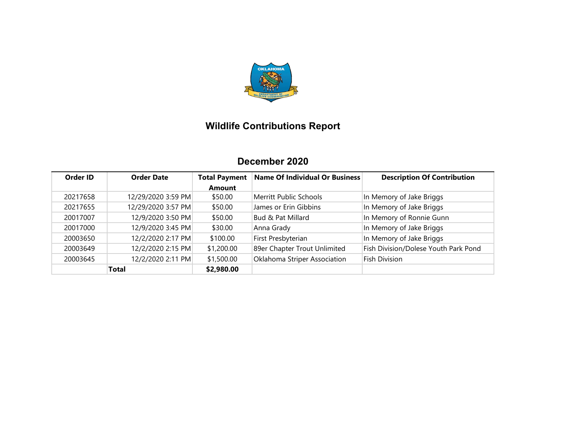

# **Wildlife Contributions Report**

# **December 2020**

| Order ID | <b>Order Date</b>  | <b>Total Payment</b> | Name Of Individual Or Business | <b>Description Of Contribution</b>   |
|----------|--------------------|----------------------|--------------------------------|--------------------------------------|
|          |                    | <b>Amount</b>        |                                |                                      |
| 20217658 | 12/29/2020 3:59 PM | \$50.00              | Merritt Public Schools         | In Memory of Jake Briggs             |
| 20217655 | 12/29/2020 3:57 PM | \$50.00              | James or Erin Gibbins          | In Memory of Jake Briggs             |
| 20017007 | 12/9/2020 3:50 PM  | \$50.00              | <b>Bud &amp; Pat Millard</b>   | In Memory of Ronnie Gunn             |
| 20017000 | 12/9/2020 3:45 PM  | \$30.00              | Anna Grady                     | In Memory of Jake Briggs             |
| 20003650 | 12/2/2020 2:17 PM  | \$100.00             | First Presbyterian             | In Memory of Jake Briggs             |
| 20003649 | 12/2/2020 2:15 PM  | \$1,200.00           | 89er Chapter Trout Unlimited   | Fish Division/Dolese Youth Park Pond |
| 20003645 | 12/2/2020 2:11 PM  | \$1,500.00           | Oklahoma Striper Association   | <b>Fish Division</b>                 |
|          | <b>Total</b>       | \$2,980.00           |                                |                                      |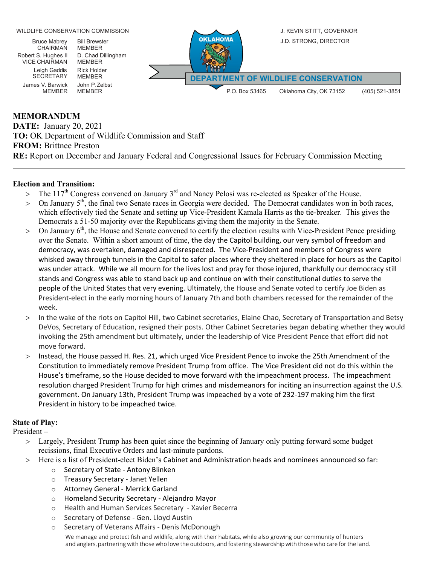WILDLIFE CONSERVATION COMMISSION J. KEVIN STITT, GOVERNOR OKLAHOMA J.D. STRONG, DIRECTOR Bruce Mabrey Bill Brewster CHAIRMAN **MEMBER** D. Chad Dillingham Robert S. Hughes II VICE CHAIRMAN MEMBER Leigh Gaddis Rick Holder SECRETARY MEMBER **DEPARTMENT OF WILDLIFE CONSERVATION**James V. Barwick John P. Zelbst P.O. Box 53465 Oklahoma City, OK 73152 (405) 521-3851 MEMBER

### **MEMORANDUM**

**DATE:** January 20, 2021 **TO:** OK Department of Wildlife Commission and Staff **FROM:** Brittnee Preston **RE:** Report on December and January Federal and Congressional Issues for February Commission Meeting

#### **Election and Transition:**

- $>$  The 117<sup>th</sup> Congress convened on January 3<sup>rd</sup> and Nancy Pelosi was re-elected as Speaker of the House.
- On January  $5<sup>th</sup>$ , the final two Senate races in Georgia were decided. The Democrat candidates won in both races, which effectively tied the Senate and setting up Vice-President Kamala Harris as the tie-breaker. This gives the Democrats a 51-50 majority over the Republicans giving them the majority in the Senate.
- $>$  On January  $6<sup>th</sup>$ , the House and Senate convened to certify the election results with Vice-President Pence presiding over the Senate. Within a short amount of time, the day the Capitol building, our very symbol of freedom and democracy, was overtaken, damaged and disrespected. The Vice-President and members of Congress were whisked away through tunnels in the Capitol to safer places where they sheltered in place for hours as the Capitol was under attack. While we all mourn for the lives lost and pray for those injured, thankfully our democracy still stands and Congress was able to stand back up and continue on with their constitutional duties to serve the people of the United States that very evening. Ultimately, the House and Senate voted to certify Joe Biden as President-elect in the early morning hours of January 7th and both chambers recessed for the remainder of the week.
- > In the wake of the riots on Capitol Hill, two Cabinet secretaries, Elaine Chao, Secretary of Transportation and Betsy DeVos, Secretary of Education, resigned their posts. Other Cabinet Secretaries began debating whether they would invoking the 25th amendment but ultimately, under the leadership of Vice President Pence that effort did not move forward.
- > Instead, the House passed H. Res. 21, which urged Vice President Pence to invoke the 25th Amendment of the Constitution to immediately remove President Trump from office. The Vice President did not do this within the House's timeframe, so the House decided to move forward with the impeachment process. The impeachment resolution charged President Trump for high crimes and misdemeanors for inciting an insurrection against the U.S. government. On January 13th, President Trump was impeached by a vote of 232-197 making him the first President in history to be impeached twice.

### **State of Play:**

President –

- > Largely, President Trump has been quiet since the beginning of January only putting forward some budget recissions, final Executive Orders and last-minute pardons.
- > Here is a list of President-elect Biden's Cabinet and Administration heads and nominees announced so far:
	- o Secretary of State Antony Blinken
	- o Treasury Secretary Janet Yellen
	- o Attorney General Merrick Garland
	- o Homeland Security Secretary Alejandro Mayor
	- o Health and Human Services Secretary Xavier Becerra
	- o Secretary of Defense Gen. Lloyd Austin
	- o Secretary of Veterans Affairs Denis McDonough

We manage and protect fish and wildlife, along with their habitats, while also growing our community of hunters and anglers, partnering with those who love the outdoors, and fostering stewardship with those who care for the land.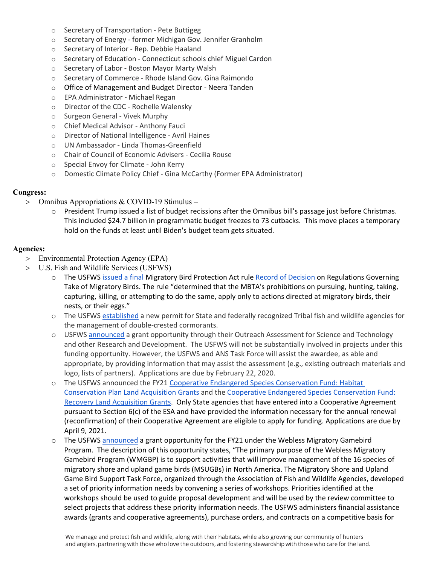- o Secretary of Transportation Pete Buttigeg
- o Secretary of Energy former Michigan Gov. Jennifer Granholm
- o Secretary of Interior Rep. Debbie Haaland
- o Secretary of Education Connecticut schools chief Miguel Cardon
- o Secretary of Labor Boston Mayor Marty Walsh
- o Secretary of Commerce Rhode Island Gov. Gina Raimondo
- o Office of Management and Budget Director Neera Tanden
- o EPA Administrator Michael Regan
- o Director of the CDC Rochelle Walensky
- o Surgeon General Vivek Murphy
- o Chief Medical Advisor Anthony Fauci
- o Director of National Intelligence Avril Haines
- o UN Ambassador Linda Thomas-Greenfield
- o Chair of Council of Economic Advisers Cecilia Rouse
- o Special Envoy for Climate John Kerry
- o Domestic Climate Policy Chief Gina McCarthy (Former EPA Administrator)

#### **Congress:**

- > Omnibus Appropriations & COVID-19 Stimulus
	- o President Trump issued a list of budget recissions after the Omnibus bill's passage just before Christmas. This included \$24.7 billion in programmatic budget freezes to 73 cutbacks. This move places a temporary hold on the funds at least until Biden's budget team gets situated.

#### **Agencies:**

- > Environmental Protection Agency (EPA)
- > U.S. Fish and Wildlife Services (USFWS)
	- The USFWS [issued a final M](https://www.federalregister.gov/documents/2021/01/07/2021-00054/regulations-governing-take-of-migratory-birds?utm_campaign=subscription+mailing+list&utm_source=federalregister.gov&utm_medium=email)igratory Bird Protection Act rule [Record of Decision](https://www.fws.gov/regulations/mbta/sites/default/files/2021-01/FWS_MBTA_Rule_Record_of_Decision_31Dec2020.pdf) on Regulations Governing Take of Migratory Birds. The rule "determined that the MBTA's prohibitions on pursuing, hunting, taking, capturing, killing, or attempting to do the same, apply only to actions directed at migratory birds, their nests, or their eggs."
	- o The USFW[S established](https://www.federalregister.gov/documents/2020/12/29/2020-28742/migratory-bird-permits-management-of-conflicts-associated-with-double-crested-cormorants?utm_campaign=subscription%20mailing%20list&utm_source=federalregister.gov&utm_medium=email) a new permit for State and federally recognized Tribal fish and wildlife agencies for the management of double-crested cormorants.
	- o USFWS [announced](https://www.grants.gov/web/grants/view-opportunity.html?oppId=330719) a grant opportunity through their Outreach Assessment for Science and Technology and other Research and Development. The USFWS will not be substantially involved in projects under this funding opportunity. However, the USFWS and ANS Task Force will assist the awardee, as able and appropriate, by providing information that may assist the assessment (e.g., existing outreach materials and logo, lists of partners). Applications are due by February 22, 2020.
	- The USFWS announced the FY21 Cooperative Endangered Species Conservation Fund: Habitat [Conservation Plan Land Acquisition Grants a](https://www.grants.gov/web/grants/view-opportunity.html?oppId=330780)nd the [Cooperative Endangered Species Conservation Fund:](https://www.grants.gov/web/grants/view-opportunity.html?oppId=330803)  [Recovery Land Acquisition Grants.](https://www.grants.gov/web/grants/view-opportunity.html?oppId=330803) Only State agencies that have entered into a Cooperative Agreement pursuant to Section 6(c) of the ESA and have provided the information necessary for the annual renewal (reconfirmation) of their Cooperative Agreement are eligible to apply for funding. Applications are due by April 9, 2021.
	- o The USFW[S announced](https://www.grants.gov/web/grants/view-opportunity.html?oppId=330804) a grant opportunity for the FY21 under the Webless Migratory Gamebird Program. The description of this opportunity states, "The primary purpose of the Webless Migratory Gamebird Program (WMGBP) is to support activities that will improve management of the 16 species of migratory shore and upland game birds (MSUGBs) in North America. The Migratory Shore and Upland Game Bird Support Task Force, organized through the Association of Fish and Wildlife Agencies, developed a set of priority information needs by convening a series of workshops. Priorities identified at the workshops should be used to guide proposal development and will be used by the review committee to select projects that address these priority information needs. The USFWS administers financial assistance awards (grants and cooperative agreements), purchase orders, and contracts on a competitive basis for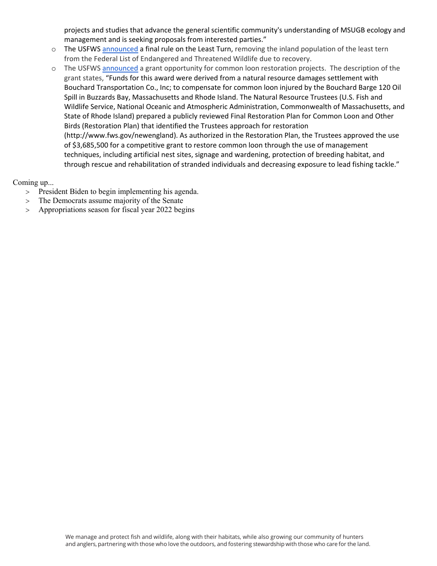projects and studies that advance the general scientific community's understanding of MSUGB ecology and management and is seeking proposals from interested parties."

- $\circ$  The USFW[S announced](https://www.federalregister.gov/documents/2021/01/13/2020-28192/endangered-and-threatened-wildlife-and-plants-removal-of-the-interior-least-tern-from-the-federal?utm_source=federalregister.gov&utm_medium=email&utm_campaign=subscription+mailing+list) a final rule on the Least Turn, removing the inland population of the least tern from the Federal List of Endangered and Threatened Wildlife due to recovery.
- o The USFW[S announced](https://www.grants.gov/web/grants/view-opportunity.html?oppId=330888) a grant opportunity for common loon restoration projects. The description of the grant states, "Funds for this award were derived from a natural resource damages settlement with Bouchard Transportation Co., Inc; to compensate for common loon injured by the Bouchard Barge 120 Oil Spill in Buzzards Bay, Massachusetts and Rhode Island. The Natural Resource Trustees (U.S. Fish and Wildlife Service, National Oceanic and Atmospheric Administration, Commonwealth of Massachusetts, and State of Rhode Island) prepared a publicly reviewed Final Restoration Plan for Common Loon and Other Birds (Restoration Plan) that identified the Trustees approach for restoration (http://www.fws.gov/newengland). As authorized in the Restoration Plan, the Trustees approved the use of \$3,685,500 for a competitive grant to restore common loon through the use of management techniques, including artificial nest sites, signage and wardening, protection of breeding habitat, and through rescue and rehabilitation of stranded individuals and decreasing exposure to lead fishing tackle."

Coming up...

- > President Biden to begin implementing his agenda.
- > The Democrats assume majority of the Senate
- > Appropriations season for fiscal year 2022 begins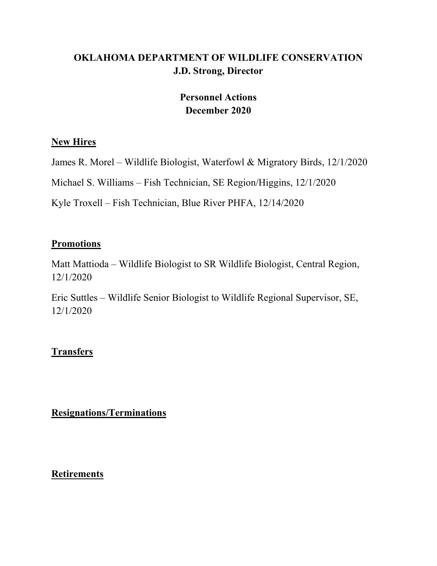# **OKLAHOMA DEPARTMENT OF WILDLIFE CONSERVATION J.D. Strong, Director**

# **Personnel Actions December 2020**

### **New Hires**

James R. Morel – Wildlife Biologist, Waterfowl & Migratory Birds, 12/1/2020

Michael S. Williams – Fish Technician, SE Region/Higgins, 12/1/2020

Kyle Troxell – Fish Technician, Blue River PHFA, 12/14/2020

## **Promotions**

Matt Mattioda – Wildlife Biologist to SR Wildlife Biologist, Central Region, 12/1/2020

Eric Suttles – Wildlife Senior Biologist to Wildlife Regional Supervisor, SE, 12/1/2020

# **Transfers**

**Resignations/Terminations**

### **Retirements**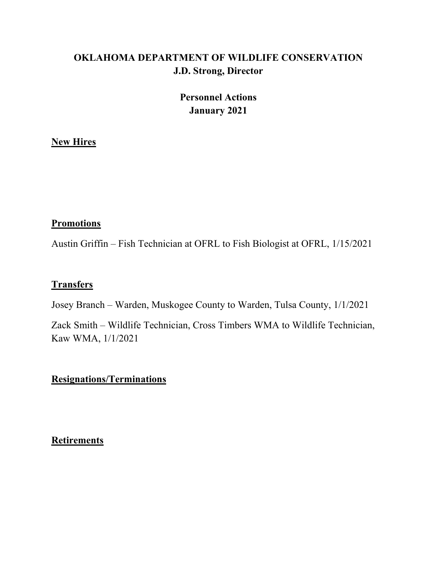# **OKLAHOMA DEPARTMENT OF WILDLIFE CONSERVATION J.D. Strong, Director**

# **Personnel Actions January 2021**

### **New Hires**

### **Promotions**

Austin Griffin – Fish Technician at OFRL to Fish Biologist at OFRL, 1/15/2021

## **Transfers**

Josey Branch – Warden, Muskogee County to Warden, Tulsa County, 1/1/2021

Zack Smith – Wildlife Technician, Cross Timbers WMA to Wildlife Technician, Kaw WMA, 1/1/2021

## **Resignations/Terminations**

**Retirements**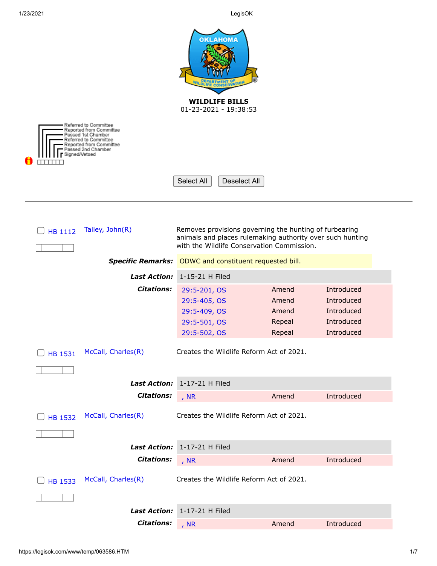| <b>OKLAHOMA</b><br><b>WILDLIFE BILLS</b><br>01-23-2021 - 19:38:53 |                                                                                                                                                                   |                 |                                            |                                                                                                                     |            |  |
|-------------------------------------------------------------------|-------------------------------------------------------------------------------------------------------------------------------------------------------------------|-----------------|--------------------------------------------|---------------------------------------------------------------------------------------------------------------------|------------|--|
|                                                                   | Referred to Committee<br>Reported from Committee<br>Passed 1st Chamber<br>Referred to Committee<br>Reported from Committee<br>Passed 2nd Chamber<br>Signed/Vetoed |                 |                                            |                                                                                                                     |            |  |
|                                                                   |                                                                                                                                                                   | Select All      | Deselect All                               |                                                                                                                     |            |  |
|                                                                   |                                                                                                                                                                   |                 |                                            |                                                                                                                     |            |  |
| HB 1112                                                           | Talley, John(R)                                                                                                                                                   |                 | with the Wildlife Conservation Commission. | Removes provisions governing the hunting of furbearing<br>animals and places rulemaking authority over such hunting |            |  |
|                                                                   | <b>Specific Remarks:</b>                                                                                                                                          |                 | ODWC and constituent requested bill.       |                                                                                                                     |            |  |
|                                                                   | <b>Last Action:</b>                                                                                                                                               | 1-15-21 H Filed |                                            |                                                                                                                     |            |  |
|                                                                   | <b>Citations:</b>                                                                                                                                                 | 29:5-201, OS    |                                            | Amend                                                                                                               | Introduced |  |
|                                                                   |                                                                                                                                                                   | 29:5-405, OS    |                                            | Amend                                                                                                               | Introduced |  |
|                                                                   |                                                                                                                                                                   | 29:5-409, OS    |                                            | Amend                                                                                                               | Introduced |  |
|                                                                   |                                                                                                                                                                   | 29:5-501, OS    |                                            | Repeal                                                                                                              | Introduced |  |
|                                                                   |                                                                                                                                                                   | 29:5-502, OS    |                                            | Repeal                                                                                                              | Introduced |  |
| <b>HB 1531</b>                                                    | McCall, Charles(R)                                                                                                                                                |                 | Creates the Wildlife Reform Act of 2021.   |                                                                                                                     |            |  |
|                                                                   |                                                                                                                                                                   |                 |                                            |                                                                                                                     |            |  |
|                                                                   | <b>Last Action:</b>                                                                                                                                               | 1-17-21 H Filed |                                            |                                                                                                                     |            |  |
|                                                                   | <b>Citations:</b>                                                                                                                                                 | , NR            |                                            | Amend                                                                                                               | Introduced |  |
| <b>HB 1532</b>                                                    | McCall, Charles(R)                                                                                                                                                |                 | Creates the Wildlife Reform Act of 2021.   |                                                                                                                     |            |  |
|                                                                   |                                                                                                                                                                   |                 |                                            |                                                                                                                     |            |  |
|                                                                   | <b>Last Action:</b>                                                                                                                                               | 1-17-21 H Filed |                                            |                                                                                                                     |            |  |
|                                                                   | <b>Citations:</b>                                                                                                                                                 | , $NR$          |                                            | Amend                                                                                                               | Introduced |  |
|                                                                   |                                                                                                                                                                   |                 |                                            |                                                                                                                     |            |  |
| <b>HB 1533</b>                                                    | McCall, Charles(R)                                                                                                                                                |                 | Creates the Wildlife Reform Act of 2021.   |                                                                                                                     |            |  |
|                                                                   |                                                                                                                                                                   |                 |                                            |                                                                                                                     |            |  |
|                                                                   | <b>Last Action:</b>                                                                                                                                               | 1-17-21 H Filed |                                            |                                                                                                                     |            |  |
|                                                                   | <b>Citations:</b>                                                                                                                                                 | , NR            |                                            | Amend                                                                                                               | Introduced |  |

.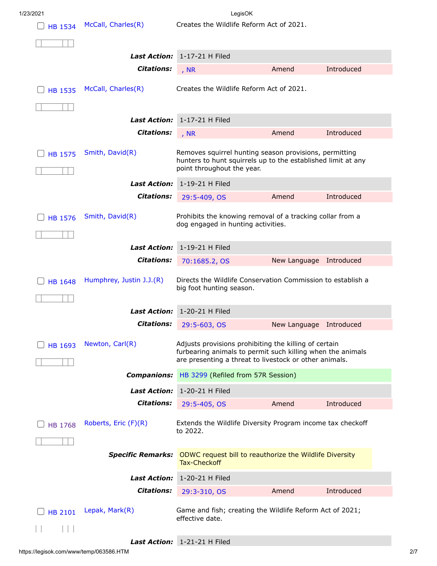| <b>HB 1534</b> | McCall, Charles(R)       | Creates the Wildlife Reform Act of 2021.                                                                               |              |            |  |
|----------------|--------------------------|------------------------------------------------------------------------------------------------------------------------|--------------|------------|--|
|                |                          |                                                                                                                        |              |            |  |
|                |                          | Last Action: 1-17-21 H Filed                                                                                           |              |            |  |
|                | <b>Citations:</b>        | , $NR$                                                                                                                 | Amend        | Introduced |  |
| <b>HB 1535</b> | McCall, Charles(R)       | Creates the Wildlife Reform Act of 2021.                                                                               |              |            |  |
|                |                          |                                                                                                                        |              |            |  |
|                | <b>Last Action:</b>      | 1-17-21 H Filed                                                                                                        |              |            |  |
|                | <b>Citations:</b>        | , NR                                                                                                                   | Amend        | Introduced |  |
|                |                          |                                                                                                                        |              |            |  |
| <b>HB 1575</b> | Smith, David(R)          | Removes squirrel hunting season provisions, permitting<br>hunters to hunt squirrels up to the established limit at any |              |            |  |
|                |                          | point throughout the year.                                                                                             |              |            |  |
|                | <b>Last Action:</b>      | 1-19-21 H Filed                                                                                                        |              |            |  |
|                | <b>Citations:</b>        | 29:5-409, OS                                                                                                           | Amend        | Introduced |  |
| <b>HB 1576</b> | Smith, David(R)          | Prohibits the knowing removal of a tracking collar from a                                                              |              |            |  |
|                |                          | dog engaged in hunting activities.                                                                                     |              |            |  |
|                | <b>Last Action:</b>      | 1-19-21 H Filed                                                                                                        |              |            |  |
|                | <b>Citations:</b>        | 70:1685.2, OS                                                                                                          | New Language | Introduced |  |
|                |                          |                                                                                                                        |              |            |  |
| <b>HB 1648</b> | Humphrey, Justin J.J.(R) | Directs the Wildlife Conservation Commission to establish a<br>big foot hunting season.                                |              |            |  |
|                |                          |                                                                                                                        |              |            |  |
|                | <b>Last Action:</b>      | 1-20-21 H Filed                                                                                                        |              |            |  |
|                | <b>Citations:</b>        | 29:5-603, OS                                                                                                           | New Language | Introduced |  |
| <b>HB 1693</b> | Newton, Carl(R)          | Adjusts provisions prohibiting the killing of certain                                                                  |              |            |  |
|                |                          | furbearing animals to permit such killing when the animals<br>are presenting a threat to livestock or other animals.   |              |            |  |
|                | <b>Companions:</b>       | HB 3299 (Refiled from 57R Session)                                                                                     |              |            |  |
|                | <b>Last Action:</b>      | 1-20-21 H Filed                                                                                                        |              |            |  |
|                | <b>Citations:</b>        | 29:5-405, OS                                                                                                           | Amend        | Introduced |  |
|                |                          |                                                                                                                        |              |            |  |
| <b>HB 1768</b> | Roberts, Eric (F)(R)     | Extends the Wildlife Diversity Program income tax checkoff<br>to 2022.                                                 |              |            |  |
|                |                          |                                                                                                                        |              |            |  |
|                | <b>Specific Remarks:</b> | ODWC request bill to reauthorize the Wildlife Diversity<br><b>Tax-Checkoff</b>                                         |              |            |  |
|                | <b>Last Action:</b>      | 1-20-21 H Filed                                                                                                        |              |            |  |
|                | <b>Citations:</b>        | 29:3-310, OS                                                                                                           | Amend        | Introduced |  |
|                |                          |                                                                                                                        |              |            |  |
| <b>HB 2101</b> | Lepak, Mark(R)           | Game and fish; creating the Wildlife Reform Act of 2021;<br>effective date.                                            |              |            |  |
|                |                          |                                                                                                                        |              |            |  |
|                |                          | Last Action: 1-21-21 H Filed                                                                                           |              |            |  |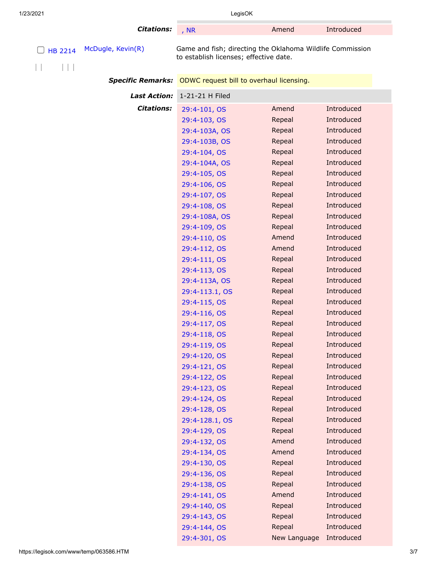| 1/23/2021 |  | LegisOK |  |
|-----------|--|---------|--|
|           |  |         |  |
|           |  |         |  |

**Citations:** [, NR](https://legisok.com/htbin/web_stat?T_COD=NR&T_VAL=) Amend Introduced

|  | $\Box$ HB 2214 McDugle, Kevin(R) | Game and fish; directing the Oklah    |
|--|----------------------------------|---------------------------------------|
|  |                                  | to establish licenses; effective date |

oma Wildlife Commission to establish licenses; effective date.

**Specific Remarks:** ODWC request bill to overhaul licensing.

| <b>Last Action:</b> | 1-21-21 H Filed |              |            |
|---------------------|-----------------|--------------|------------|
| <b>Citations:</b>   | 29:4-101, OS    | Amend        | Introduced |
|                     | 29:4-103, OS    | Repeal       | Introduced |
|                     | 29:4-103A, OS   | Repeal       | Introduced |
|                     | 29:4-103B, OS   | Repeal       | Introduced |
|                     | 29:4-104, OS    | Repeal       | Introduced |
|                     | 29:4-104A, OS   | Repeal       | Introduced |
|                     | 29:4-105, OS    | Repeal       | Introduced |
|                     | 29:4-106, OS    | Repeal       | Introduced |
|                     | 29:4-107, OS    | Repeal       | Introduced |
|                     | 29:4-108, OS    | Repeal       | Introduced |
|                     | 29:4-108A, OS   | Repeal       | Introduced |
|                     | 29:4-109, OS    | Repeal       | Introduced |
|                     | 29:4-110, OS    | Amend        | Introduced |
|                     | 29:4-112, OS    | Amend        | Introduced |
|                     | 29:4-111, OS    | Repeal       | Introduced |
|                     | 29:4-113, OS    | Repeal       | Introduced |
|                     | 29:4-113A, OS   | Repeal       | Introduced |
|                     | 29:4-113.1, OS  | Repeal       | Introduced |
|                     | 29:4-115, OS    | Repeal       | Introduced |
|                     | 29:4-116, OS    | Repeal       | Introduced |
|                     | 29:4-117, OS    | Repeal       | Introduced |
|                     | 29:4-118, OS    | Repeal       | Introduced |
|                     | 29:4-119, OS    | Repeal       | Introduced |
|                     | 29:4-120, OS    | Repeal       | Introduced |
|                     | 29:4-121, OS    | Repeal       | Introduced |
|                     | 29:4-122, OS    | Repeal       | Introduced |
|                     | 29:4-123, OS    | Repeal       | Introduced |
|                     | 29:4-124, OS    | Repeal       | Introduced |
|                     | 29:4-128, OS    | Repeal       | Introduced |
|                     | 29:4-128.1, OS  | Repeal       | Introduced |
|                     | 29:4-129, OS    | Repeal       | Introduced |
|                     | 29:4-132, OS    | Amend        | Introduced |
|                     | 29:4-134, OS    | Amend        | Introduced |
|                     | 29:4-130, OS    | Repeal       | Introduced |
|                     | 29:4-136, OS    | Repeal       | Introduced |
|                     | 29:4-138, OS    | Repeal       | Introduced |
|                     | 29:4-141, OS    | Amend        | Introduced |
|                     | 29:4-140, OS    | Repeal       | Introduced |
|                     | 29:4-143, OS    | Repeal       | Introduced |
|                     | 29:4-144, OS    | Repeal       | Introduced |
|                     | 29:4-301, OS    | New Language | Introduced |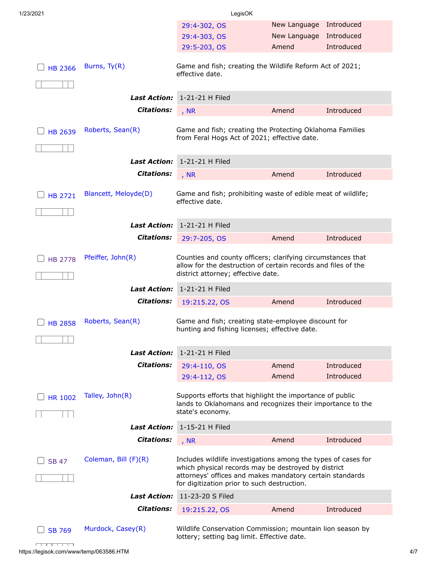| 1/23/2021      |                            | LegisOK                                                                                                                                                                                                                         |              |            |
|----------------|----------------------------|---------------------------------------------------------------------------------------------------------------------------------------------------------------------------------------------------------------------------------|--------------|------------|
|                |                            | 29:4-302, OS                                                                                                                                                                                                                    | New Language | Introduced |
|                |                            | 29:4-303, OS                                                                                                                                                                                                                    | New Language | Introduced |
|                |                            | 29:5-203, OS                                                                                                                                                                                                                    | Amend        | Introduced |
| <b>HB 2366</b> | Burns, Ty(R)               | Game and fish; creating the Wildlife Reform Act of 2021;<br>effective date.                                                                                                                                                     |              |            |
|                | <b>Last Action:</b>        | 1-21-21 H Filed                                                                                                                                                                                                                 |              |            |
|                | <b>Citations:</b>          |                                                                                                                                                                                                                                 |              |            |
|                |                            | , $NR$                                                                                                                                                                                                                          | Amend        | Introduced |
| <b>HB 2639</b> | Roberts, Sean(R)           | Game and fish; creating the Protecting Oklahoma Families<br>from Feral Hogs Act of 2021; effective date.                                                                                                                        |              |            |
|                | <b>Last Action:</b>        | 1-21-21 H Filed                                                                                                                                                                                                                 |              |            |
|                | <b>Citations:</b>          |                                                                                                                                                                                                                                 | Amend        | Introduced |
|                |                            | , NR                                                                                                                                                                                                                            |              |            |
| <b>HB 2721</b> | Blancett, Meloyde(D)       | Game and fish; prohibiting waste of edible meat of wildlife;<br>effective date.                                                                                                                                                 |              |            |
|                | <b>Last Action:</b>        | 1-21-21 H Filed                                                                                                                                                                                                                 |              |            |
|                | <b>Citations:</b>          | 29:7-205, OS                                                                                                                                                                                                                    | Amend        | Introduced |
|                |                            |                                                                                                                                                                                                                                 |              |            |
| <b>HB 2778</b> | Pfeiffer, John(R)          | Counties and county officers; clarifying circumstances that<br>allow for the destruction of certain records and files of the<br>district attorney; effective date.                                                              |              |            |
|                | <b>Last Action:</b>        | 1-21-21 H Filed                                                                                                                                                                                                                 |              |            |
|                | <b>Citations:</b>          | 19:215.22, OS                                                                                                                                                                                                                   | Amend        | Introduced |
| <b>HB 2858</b> | Roberts, Sean(R)           | Game and fish; creating state-employee discount for<br>hunting and fishing licenses; effective date.                                                                                                                            |              |            |
|                | <i><b>Last Action:</b></i> | 1-21-21 H Filed                                                                                                                                                                                                                 |              |            |
|                | <b>Citations:</b>          | 29:4-110, OS                                                                                                                                                                                                                    | Amend        | Introduced |
|                |                            | 29:4-112, OS                                                                                                                                                                                                                    | Amend        | Introduced |
| <b>HR 1002</b> | Talley, John(R)            | Supports efforts that highlight the importance of public<br>lands to Oklahomans and recognizes their importance to the<br>state's economy.                                                                                      |              |            |
|                | <b>Last Action:</b>        | 1-15-21 H Filed                                                                                                                                                                                                                 |              |            |
|                | <b>Citations:</b>          | , $NR$                                                                                                                                                                                                                          | Amend        | Introduced |
| <b>SB 47</b>   | Coleman, Bill (F)(R)       | Includes wildlife investigations among the types of cases for<br>which physical records may be destroyed by district<br>attorneys' offices and makes mandatory certain standards<br>for digitization prior to such destruction. |              |            |
|                | <b>Last Action:</b>        | 11-23-20 S Filed                                                                                                                                                                                                                |              |            |
|                | <b>Citations:</b>          | 19:215.22, OS                                                                                                                                                                                                                   | Amend        | Introduced |
| <b>SB 769</b>  | Murdock, Casey(R)          | Wildlife Conservation Commission; mountain lion season by<br>lottery; setting bag limit. Effective date.                                                                                                                        |              |            |

 $\overline{1}$  ,  $\overline{1}$  ,  $\overline{1}$  ,  $\overline{1}$  ,  $\overline{1}$  ,  $\overline{1}$  ,  $\overline{1}$  ,  $\overline{1}$ https://legisok.com/www/temp/063586.HTM 4/7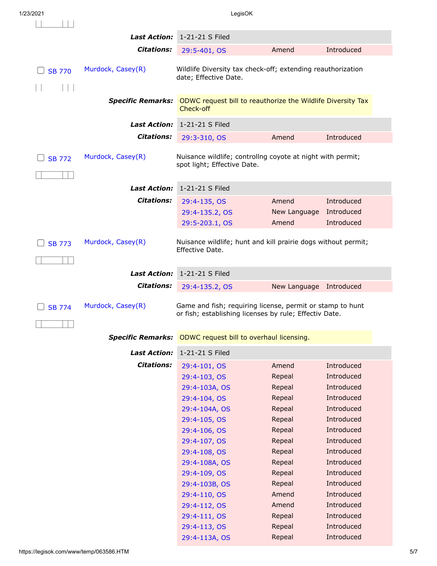$\overline{\phantom{a}}$ 

|               | <b>Last Action:</b>      | 1-21-21 S Filed                                                                                                     |              |            |  |
|---------------|--------------------------|---------------------------------------------------------------------------------------------------------------------|--------------|------------|--|
|               | <b>Citations:</b>        | 29:5-401, OS                                                                                                        | Amend        | Introduced |  |
| <b>SB 770</b> | Murdock, Casey(R)        | Wildlife Diversity tax check-off; extending reauthorization<br>date; Effective Date.                                |              |            |  |
|               | <b>Specific Remarks:</b> | ODWC request bill to reauthorize the Wildlife Diversity Tax<br>Check-off                                            |              |            |  |
|               | <b>Last Action:</b>      | 1-21-21 S Filed                                                                                                     |              |            |  |
|               | <b>Citations:</b>        | 29:3-310, OS                                                                                                        | Amend        | Introduced |  |
| <b>SB 772</b> | Murdock, Casey(R)        | Nuisance wildlife; controllng coyote at night with permit;<br>spot light; Effective Date.                           |              |            |  |
|               | <b>Last Action:</b>      | 1-21-21 S Filed                                                                                                     |              |            |  |
|               | <b>Citations:</b>        | 29:4-135, OS                                                                                                        | Amend        | Introduced |  |
|               |                          | 29:4-135.2, OS                                                                                                      | New Language | Introduced |  |
|               |                          | 29:5-203.1, OS                                                                                                      | Amend        | Introduced |  |
| <b>SB 773</b> | Murdock, Casey(R)        | Nuisance wildlife; hunt and kill prairie dogs without permit;<br>Effective Date.                                    |              |            |  |
|               | <b>Last Action:</b>      | 1-21-21 S Filed                                                                                                     |              |            |  |
|               | <b>Citations:</b>        | 29:4-135.2, OS                                                                                                      | New Language | Introduced |  |
| <b>SB 774</b> | Murdock, Casey(R)        | Game and fish; requiring license, permit or stamp to hunt<br>or fish; establishing licenses by rule; Effectiv Date. |              |            |  |
|               |                          | Specific Remarks: ODWC request bill to overhaul licensing.                                                          |              |            |  |
|               | <b>Last Action:</b>      | 1-21-21 S Filed                                                                                                     |              |            |  |
|               | <b>Citations:</b>        | 29:4-101, OS                                                                                                        | Amend        | Introduced |  |
|               |                          | 29:4-103, OS                                                                                                        | Repeal       | Introduced |  |
|               |                          | 29:4-103A, OS                                                                                                       | Repeal       | Introduced |  |
|               |                          | 29:4-104, OS                                                                                                        | Repeal       | Introduced |  |
|               |                          | 29:4-104A, OS                                                                                                       | Repeal       | Introduced |  |
|               |                          | 29:4-105, OS                                                                                                        | Repeal       | Introduced |  |
|               |                          | 29:4-106, OS                                                                                                        | Repeal       | Introduced |  |
|               |                          | 29:4-107, OS                                                                                                        | Repeal       | Introduced |  |
|               |                          | 29:4-108, OS                                                                                                        | Repeal       | Introduced |  |
|               |                          | 29:4-108A, OS                                                                                                       | Repeal       | Introduced |  |
|               |                          | 29:4-109, OS                                                                                                        | Repeal       | Introduced |  |
|               |                          | 29:4-103B, OS                                                                                                       | Repeal       | Introduced |  |
|               |                          | 29:4-110, OS                                                                                                        | Amend        | Introduced |  |
|               |                          | 29:4-112, OS                                                                                                        | Amend        | Introduced |  |
|               |                          | 29:4-111, OS                                                                                                        | Repeal       | Introduced |  |
|               |                          | 29:4-113, OS                                                                                                        | Repeal       | Introduced |  |
|               |                          | 29:4-113A, OS                                                                                                       | Repeal       | Introduced |  |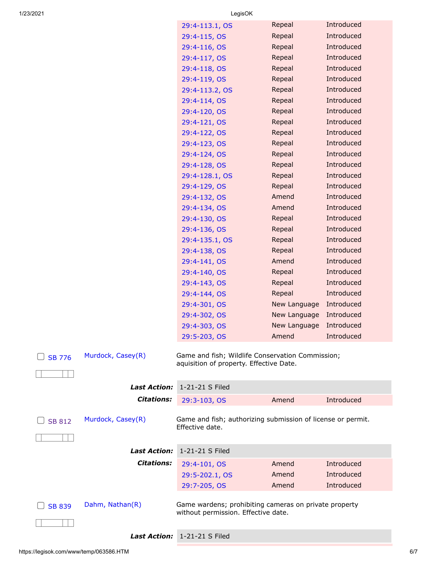| 1/23/2021                          | LegisOK                                 |                                                             |            |
|------------------------------------|-----------------------------------------|-------------------------------------------------------------|------------|
|                                    | 29:4-113.1, OS                          | Repeal                                                      | Introduced |
|                                    | 29:4-115, OS                            | Repeal                                                      | Introduced |
|                                    | 29:4-116, OS                            | Repeal                                                      | Introduced |
|                                    | 29:4-117, OS                            | Repeal                                                      | Introduced |
|                                    | 29:4-118, OS                            | Repeal                                                      | Introduced |
|                                    | 29:4-119, OS                            | Repeal                                                      | Introduced |
|                                    | 29:4-113.2, OS                          | Repeal                                                      | Introduced |
|                                    | 29:4-114, OS                            | Repeal                                                      | Introduced |
|                                    | 29:4-120, OS                            | Repeal                                                      | Introduced |
|                                    | 29:4-121, OS                            | Repeal                                                      | Introduced |
|                                    | 29:4-122, OS                            | Repeal                                                      | Introduced |
|                                    | 29:4-123, OS                            | Repeal                                                      | Introduced |
|                                    | 29:4-124, OS                            | Repeal                                                      | Introduced |
|                                    | 29:4-128, OS                            | Repeal                                                      | Introduced |
|                                    | 29:4-128.1, OS                          | Repeal                                                      | Introduced |
|                                    | 29:4-129, OS                            | Repeal                                                      | Introduced |
|                                    | 29:4-132, OS                            | Amend                                                       | Introduced |
|                                    | 29:4-134, OS                            | Amend                                                       | Introduced |
|                                    | 29:4-130, OS                            | Repeal                                                      | Introduced |
|                                    | 29:4-136, OS                            | Repeal                                                      | Introduced |
|                                    | 29:4-135.1, OS                          | Repeal                                                      | Introduced |
|                                    | 29:4-138, OS                            | Repeal                                                      | Introduced |
|                                    | 29:4-141, OS                            | Amend                                                       | Introduced |
|                                    | 29:4-140, OS                            | Repeal                                                      | Introduced |
|                                    | 29:4-143, OS                            | Repeal                                                      | Introduced |
|                                    | 29:4-144, OS                            | Repeal                                                      | Introduced |
|                                    | 29:4-301, OS                            | New Language                                                | Introduced |
|                                    | 29:4-302, OS                            | New Language                                                | Introduced |
|                                    | 29:4-303, OS                            | New Language                                                | Introduced |
|                                    | 29:5-203, OS                            | Amend                                                       | Introduced |
| Murdock, Casey(R)<br><b>SB 776</b> | aquisition of property. Effective Date. | Game and fish; Wildlife Conservation Commission;            |            |
| <i><b>Last Action:</b></i>         | 1-21-21 S Filed                         |                                                             |            |
| <b>Citations:</b>                  | 29:3-103, OS                            | Amend                                                       | Introduced |
| Murdock, Casey(R)<br><b>SB 812</b> | Effective date.                         | Game and fish; authorizing submission of license or permit. |            |
| <b>Last Action:</b>                | 1-21-21 S Filed                         |                                                             |            |
| <b>Citations:</b>                  | 29:4-101, OS                            | Amend                                                       | Introduced |
|                                    | 29:5-202.1, OS                          | Amend                                                       | Introduced |
|                                    | 29:7-205, OS                            | Amend                                                       | Introduced |
| Dahm, Nathan(R)<br><b>SB 839</b>   |                                         | Game wardens; prohibiting cameras on private property       |            |
|                                    | without permission. Effective date.     |                                                             |            |
|                                    |                                         |                                                             |            |
| <b>Last Action:</b>                | 1-21-21 S Filed                         |                                                             |            |